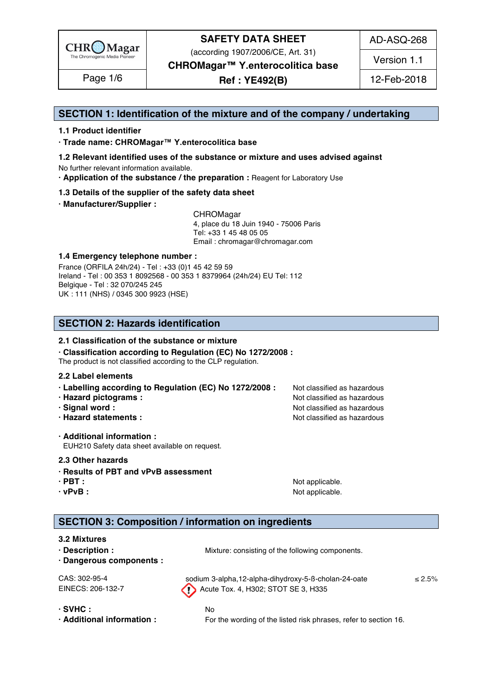

(according 1907/2006/CE, Art. 31)

AD-ASQ-268

Version 1.1

**CHROMagar™ Y.enterocolitica base**

**Ref : YE492(B)** Page 1/6 12-Feb-2018

### **SECTION 1: Identification of the mixture and of the company / undertaking** 1

### **1.1 Product identifier** 2

**· Trade name: CHROMagar™ Y.enterocolitica base** 3

- **1.2 Relevant identified uses of the substance or mixture and uses advised against** 4 No further relevant information available. 5
- **· Application of the substance / the preparation :** Reagent for Laboratory Use 6

### **1.3 Details of the supplier of the safety data sheet** 7

**· Manufacturer/Supplier :** 8

CHROMagar 9 4, place du 18 Juin 1940 - 75006 Paris 10 Tel: +33 1 45 48 05 05 11 11 12 11 12 11 12 11 12 11 12 11 12 11 12 11 12 11 12 1 Email : chromagar@chromagar.com 12

### **1.4 Emergency telephone number :** 13

France (ORFILA 24h/24) - Tel: +33 (0)1 45 42 59 59 Ireland - Tel: 00 353 1 8092568 - 00 353 1 8379964 (24h/24) EU Tel: 112 Belgique - Tel : 32 070/245 245 16 UK : 111 (NHS) / 0345 300 9923 (HSE) 17

## **SECTION 2: Hazards identification** 20

#### **2.1 Classification of the substance or mixture** 21

**· Classification according to Regulation (EC) No 1272/2008 :** 22

The product is not classified according to the CLP regulation.

#### **2.2 Label elements** 24

- **· Labelling according to Regulation (EC) No 1272/2008 : Not classified as hazardous**
- **· Hazard pictograms :** Not classified as hazardous 26 and 26 and 26 and 26 and 26 and 26 and 26 and 26 and 26 and 26 and 26 and 26 and 26 and 26 and 26 and 26 and 26 and 26 and 26 and 26 and 26 and 26 and 26 and 26 and 26
- **· Signal word :** Not classified as hazardous 27 and 27 and 27 and 27 and 27 and 27 and 27 and 27 and 27 and 27 and 27 and 27 and 27 and 27 and 27 and 27 and 27 and 27 and 27 and 27 and 27 and 27 and 27 and 27 and 27 and 2
- **· Hazard statements :** Not classified as hazardous 28 and 28 and 28 and 28 and 28 and 28 and 28 and 28 and 28 and 28 and 28 and 28 and 28 and 28 and 28 and 28 and 28 and 28 and 28 and 28 and 28 and 28 and 28 and 28 and 28

**· Additional information :** 30 EUH210 Safety data sheet available on request.

#### **2.3 Other hazards** 32

- **· Results of PBT and vPvB assessment** 33
- 
- 

**· PBT :**  $\blacksquare$  **:**  $\blacksquare$  **11**  $\blacksquare$  **11**  $\blacksquare$  **11**  $\blacksquare$  **11**  $\blacksquare$  **11**  $\blacksquare$  **11**  $\blacksquare$  **11**  $\blacksquare$  **11**  $\blacksquare$  **11**  $\blacksquare$  **11**  $\blacksquare$  **11**  $\blacksquare$  **11**  $\blacksquare$  **11**  $\blacksquare$  **11**  $\blacksquare$  **11**  $\blacksquare$  **11**  $\blacksquare$  **· vPvB :** Not applicable. 35

## **SECTION 3: Composition / information on ingredients**

### **3.2 Mixtures** 39

- **· Description :** Mixture: consisting of the following components. 40 **· Dangerous components :** 41  $CAS: 302-95-4$  sodium 3-alpha,12-alpha-dihydroxy-5-B-cholan-24-oate  $\leq 2.5\%$ EINECS: 206-132-7 Acute Tox. 4, H302; STOT SE 3, H335 **· SVHC :** No 44
- 

**· Additional information :** For the wording of the listed risk phrases, refer to section 16.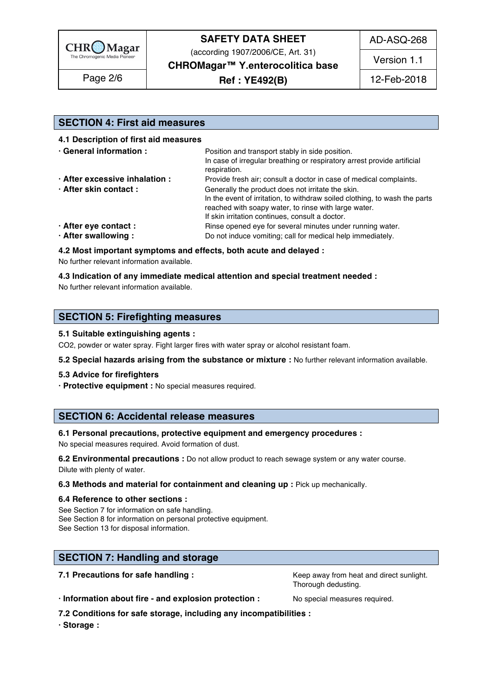

(according 1907/2006/CE, Art. 31)

AD-ASQ-268

Version 1.1

**CHROMagar™ Y.enterocolitica base**

**Ref : YE492(B)** Page 2/6 12-Feb-2018

# **SECTION 4: First aid measures** 48

**4.1 Description of first aid measures** 49

| · General information :        | Position and transport stably in side position.<br>In case of irregular breathing or respiratory arrest provide artificial<br>respiration.                                              |  |  |
|--------------------------------|-----------------------------------------------------------------------------------------------------------------------------------------------------------------------------------------|--|--|
| · After excessive inhalation : | Provide fresh air; consult a doctor in case of medical complaints.                                                                                                                      |  |  |
| · After skin contact:          | Generally the product does not irritate the skin.<br>In the event of irritation, to withdraw soiled clothing, to wash the parts<br>reached with soapy water, to rinse with large water. |  |  |
| · After eye contact :          | If skin irritation continues, consult a doctor.<br>Rinse opened eye for several minutes under running water.                                                                            |  |  |
| · After swallowing:            | Do not induce vomiting; call for medical help immediately.                                                                                                                              |  |  |

**4.2 Most important symptoms and effects, both acute and delayed :** 60

No further relevant information available. 61

#### **4.3 Indication of any immediate medical attention and special treatment needed :** 62

No further relevant information available.  $\blacksquare$ 

### **SECTION 5: Firefighting measures**

#### **5.1 Suitable extinguishing agents :** 67

CO2, powder or water spray. Fight larger fires with water spray or alcohol resistant foam.

**5.2 Special hazards arising from the substance or mixture :** No further relevant information available. 69

#### **5.3 Advice for firefighters** 70

**· Protective equipment :** No special measures required. 71

### **SECTION 6: Accidental release measures**

#### **6.1 Personal precautions, protective equipment and emergency procedures :** 75

No special measures required. Avoid formation of dust.

**6.2 Environmental precautions** : Do not allow product to reach sewage system or any water course. Dilute with plenty of water. The contract of the contract of the contract of the contract of the contract of the contract of the contract of the contract of the contract of the contract of the contract of the contract of t

#### **6.3 Methods and material for containment and cleaning up : Pick up mechanically.**

#### **6.4 Reference to other sections :** 80

See Section 7 for information on safe handling. See Section 8 for information on personal protective equipment. See Section 13 for disposal information. 833 and 333 and 333 and 333 and 333 and 333 and 333 and 333 and 333 and 333 and 333 and 333 and 333 and 333 and 333 and 333 and 333 and 333 and 333 and 333 and 333 and 333 and 333 a

### **SECTION 7: Handling and storage 86 and 200 million and 200 million and 200 million and 200 million and 200 million**

**7.1 Precautions for safe handling : Keep away from heat and direct sunlight.** 87.1 **Precautions for safe handling :** Thorough dedusting.

**· Information about fire - and explosion protection :** No special measures required. 89

**7.2 Conditions for safe storage, including any incompatibilities :** 90

**· Storage :** 91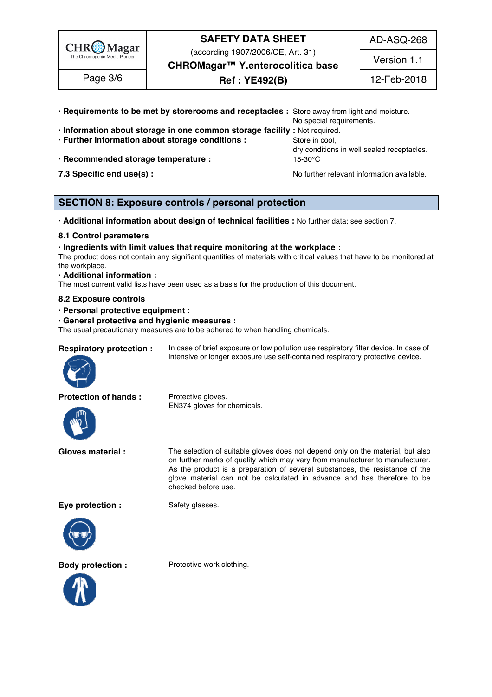

(according 1907/2006/CE, Art. 31)

AD-ASQ-268

Version 1.1

**CHROMagar™ Y.enterocolitica base**

**Ref : YE492(B)** Page 3/6 12-Feb-2018

| · Requirements to be met by storerooms and receptacles : Store away from light and moisture. |                                                              |  |
|----------------------------------------------------------------------------------------------|--------------------------------------------------------------|--|
|                                                                                              | No special requirements.                                     |  |
| · Information about storage in one common storage facility: Not required.                    |                                                              |  |
| · Further information about storage conditions :                                             | Store in cool.<br>dry conditions in well sealed receptacles. |  |
| · Recommended storage temperature :                                                          |                                                              |  |

**7.3 Specific end use(s) : No further relevant information available.** 98

### **SECTION 8: Exposure controls / personal protection**

**· Additional information about design of technical facilities :** No further data; see section 7. 102

### **8.1 Control parameters** 103

**· Ingredients with limit values that require monitoring at the workplace :** 104

The product does not contain any signifiant quantities of materials with critical values that have to be monitored at  $\blacksquare$  the workplace.  $\blacksquare$ 

#### **· Additional information :** 107

The most current valid lists have been used as a basis for the production of this document.

#### **8.2 Exposure controls** 109

**· Personal protective equipment :** 110

#### **· General protective and hygienic measures :** 111

The usual precautionary measures are to be adhered to when handling chemicals.

#### **Respiratory protection :** In case of brief exposure or low pollution use respiratory filter device. In case of



**Protection of hands :** Protective gloves.



EN374 gloves for chemicals.

**Gloves material :** The selection of suitable gloves does not depend only on the material, but also on further marks of quality which may vary from manufacturer to manufacturer. As the product is a preparation of several substances, the resistance of the glove material can not be calculated in advance and has therefore to be checked before use.

intensive or longer exposure use self-contained respiratory protective device.

**Eye protection :** Safety glasses.





**Body protection :** Protective work clothing.

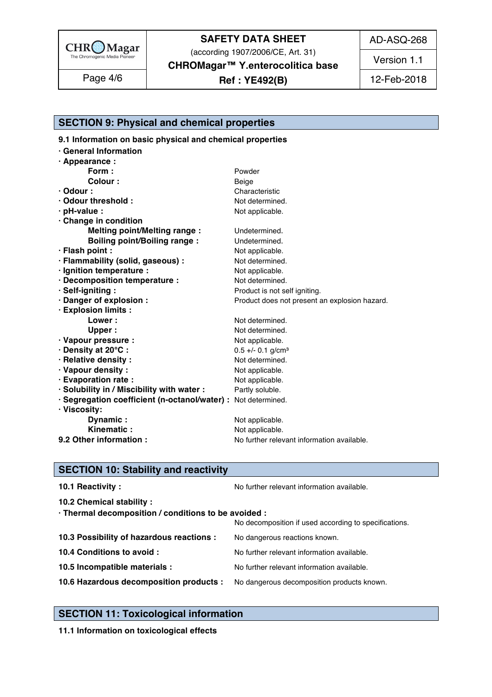

(according 1907/2006/CE, Art. 31)

AD-ASQ-268

Version 1.1

**CHROMagar™ Y.enterocolitica base**

**Ref : YE492(B)** Page 4/6 12-Feb-2018

# **SECTION 9: Physical and chemical properties**

**9.1 Information on basic physical and chemical properties** 

| ⋅ General Information                                         |                                               |
|---------------------------------------------------------------|-----------------------------------------------|
| $\cdot$ Appearance :                                          |                                               |
| Form:                                                         | Powder                                        |
| <b>Colour:</b>                                                | Beige                                         |
| $\cdot$ Odour :                                               | Characteristic                                |
| Odour threshold:                                              | Not determined.                               |
| · pH-value :                                                  | Not applicable.                               |
| Change in condition                                           |                                               |
| <b>Melting point/Melting range:</b>                           | Undetermined.                                 |
| <b>Boiling point/Boiling range:</b>                           | Undetermined.                                 |
| · Flash point :                                               | Not applicable.                               |
| · Flammability (solid, gaseous) :                             | Not determined.                               |
| · Ignition temperature :                                      | Not applicable.                               |
| · Decomposition temperature :                                 | Not determined.                               |
| · Self-igniting :                                             | Product is not self igniting.                 |
| · Danger of explosion :                                       | Product does not present an explosion hazard. |
| · Explosion limits :                                          |                                               |
| Lower:                                                        | Not determined.                               |
| <b>Upper</b>                                                  | Not determined.                               |
| · Vapour pressure :                                           | Not applicable.                               |
| · Density at 20°C:                                            | $0.5 +/- 0.1$ g/cm <sup>3</sup>               |
| · Relative density :                                          | Not determined.                               |
| · Vapour density:                                             | Not applicable.                               |
| · Evaporation rate :                                          | Not applicable.                               |
| · Solubility in / Miscibility with water :                    | Partly soluble.                               |
| · Segregation coefficient (n-octanol/water) : Not determined. |                                               |
| · Viscosity:                                                  |                                               |
| Dynamic:                                                      | Not applicable.                               |
| Kinematic:                                                    | Not applicable.                               |
| 9.2 Other information :                                       | No further relevant information available.    |
|                                                               |                                               |

# **SECTION 10: Stability and reactivity**

| 10.1 Reactivity:                                                                   | No further relevant information available.            |
|------------------------------------------------------------------------------------|-------------------------------------------------------|
| 10.2 Chemical stability :                                                          |                                                       |
| · Thermal decomposition / conditions to be avoided :                               | No decomposition if used according to specifications. |
| 10.3 Possibility of hazardous reactions :                                          | No dangerous reactions known.                         |
| 10.4 Conditions to avoid :                                                         | No further relevant information available.            |
| 10.5 Incompatible materials :                                                      | No further relevant information available.            |
| 10.6 Hazardous decomposition products : No dangerous decomposition products known. |                                                       |
|                                                                                    |                                                       |

# **SECTION 11: Toxicological information**

**11.1 Information on toxicological effects**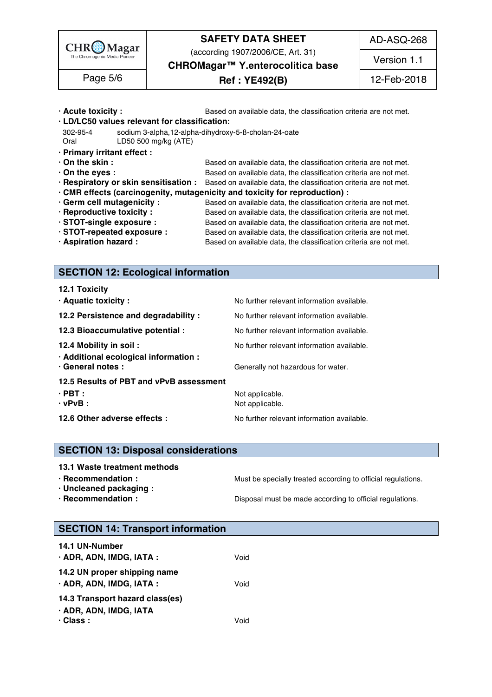

(according 1907/2006/CE, Art. 31)

AD-ASQ-268

**CHROMagar™ Y.enterocolitica base**

# **Ref : YE492(B)** Page 5/6 12-Feb-2018

Version 1.1

| $\cdot$ Acute toxicity :                      | Based on available data, the classification criteria are not met.                                       |
|-----------------------------------------------|---------------------------------------------------------------------------------------------------------|
| · LD/LC50 values relevant for classification: |                                                                                                         |
| 302-95-4                                      | sodium 3-alpha, 12-alpha-dihydroxy-5-B-cholan-24-oate                                                   |
| Oral<br>LD50 500 mg/kg (ATE)                  |                                                                                                         |
| · Primary irritant effect :                   |                                                                                                         |
| $\cdot$ On the skin :                         | Based on available data, the classification criteria are not met.                                       |
| $\cdot$ On the eyes :                         | Based on available data, the classification criteria are not met.                                       |
|                                               | . Respiratory or skin sensitisation : Based on available data, the classification criteria are not met. |
|                                               | · CMR effects (carcinogenity, mutagenicity and toxicity for reproduction) :                             |
| · Germ cell mutagenicity :                    | Based on available data, the classification criteria are not met.                                       |
| · Reproductive toxicity :                     | Based on available data, the classification criteria are not met.                                       |
| STOT-single exposure :                        | Based on available data, the classification criteria are not met.                                       |
| · STOT-repeated exposure :                    | Based on available data, the classification criteria are not met.                                       |
| · Aspiration hazard :                         | Based on available data, the classification criteria are not met.                                       |
|                                               |                                                                                                         |

### **SECTION 12: Ecological information**

# **SECTION 13: Disposal considerations**

#### **13.1 Waste treatment methods in a set of the set of the set of the set of the set of the set of the set of the set of the set of the set of the set of the set of the set of the set of the set of the set of the set of the**

**· Recommendation : Must be specially treated according to official regulations.**<br>**· Uncleaned packaging :** 1978

**· Uncleaned packaging :** 198

**· Recommendation : Disposal must be made according to official regulations.** 

### **SECTION 14: Transport information**

| <b>14.1 UN-Number</b>                                          |      |  |  |
|----------------------------------------------------------------|------|--|--|
| · ADR, ADN, IMDG, IATA :                                       | Void |  |  |
| 14.2 UN proper shipping name<br>$\cdot$ ADR, ADN, IMDG, IATA : | Void |  |  |
| 14.3 Transport hazard class(es)                                |      |  |  |
| · ADR, ADN, IMDG, IATA                                         |      |  |  |
| $\cdot$ Class :                                                | Void |  |  |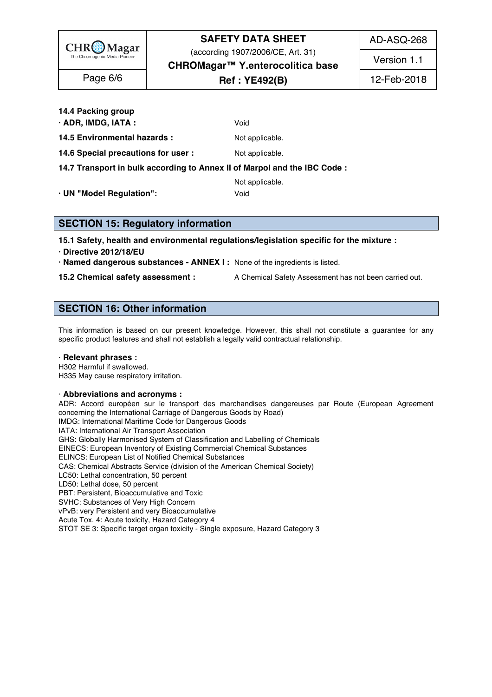

(according 1907/2006/CE, Art. 31)

AD-ASQ-268

**CHROMagar™ Y.enterocolitica base** Version 1.1

# **Ref : YE492(B)** Page 6/6 12-Feb-2018

**14.4 Packing group** 210

**· ADR, IMDG, IATA :**  $Void$ 

**14.5 Environmental hazards :** Not applicable. 212

**14.6 Special precautions for user :** Not applicable. 2133 and 2133 and 2133 and 2133 and 2133 and 2133 and 2133 and 2133 and 2133 and 2133 and 2133 and 2133 and 2133 and 2133 and 2133 and 2133 and 2133 and 2133 and 2133 a

**14.7 Transport in bulk according to Annex II of Marpol and the IBC Code :** 214

Not applicable. 215

**· UN "Model Regulation":** Void 216

**SECTION 15: Regulatory information** 

**15.1 Safety, health and environmental regulations/legislation specific for the mixture :** 220

**· Directive 2012/18/EU** 221

**· Named dangerous substances - ANNEX I :** None of the ingredients is listed. 222

**15.2 Chemical safety assessment :** A Chemical Safety Assessment has not been carried out.

# **SECTION 16: Other information** 226

This information is based on our present knowledge. However, this shall not constitute a guarantee for any specific product features and shall not establish a legally valid contractual relationship.

### · **Relevant phrases :** 231

H302 Harmful if swallowed. 2323 Armor and the state of the state of the state of the state of the state of the state of the state of the state of the state of the state of the state of the state of the state of the state o H335 May cause respiratory irritation. 2333 May 2022 20:33:34 May 20:33:34 May 20:33:34 May 20:33:34 May 20:33:34

### · **Abbreviations and acronyms :** 235

ADR: Accord européen sur le transport des marchandises dangereuses par Route (European Agreement concerning the International Carriage of Dangerous Goods by Road) IMDG: International Maritime Code for Dangerous Goods<br>IATA: International Air Transport Association IATA: International Air Transport Association 239 GHS: Globally Harmonised System of Classification and Labelling of Chemicals EINECS: European Inventory of Existing Commercial Chemical Substances ELINCS: European List of Notified Chemical Substances CAS: Chemical Abstracts Service (division of the American Chemical Society) LC50: Lethal concentration, 50 percent 2444 AM and 2444 AM and 2444 AM and 2444 AM and 2444 AM and 2444 AM and 2444 AM and 2444 AM and 2444 AM and 2444 AM and 2444 AM and 2444 AM and 2444 AM and 2444 AM and 2444 AM and 244 LD50: Lethal dose, 50 percent 2455 and 245 and 245 and 245 and 245 and 245 and 245 and 245 and 245 and 245 and 245 and 245 and 245 and 245 and 245 and 245 and 245 and 245 and 245 and 245 and 245 and 245 and 245 and 245 and PBT: Persistent, Bioaccumulative and Toxic 2466 Australian and Toxic 2466 Australian and Toxic 2466 Australian SVHC: Substances of Very High Concern 2477 Production 2477 Production 2477 Production 2477 Production 2477 Pro vPvB: very Persistent and very Bioaccumulative Acute Tox. 4: Acute toxicity, Hazard Category 4 STOT SE 3: Specific target organ toxicity - Single exposure, Hazard Category 3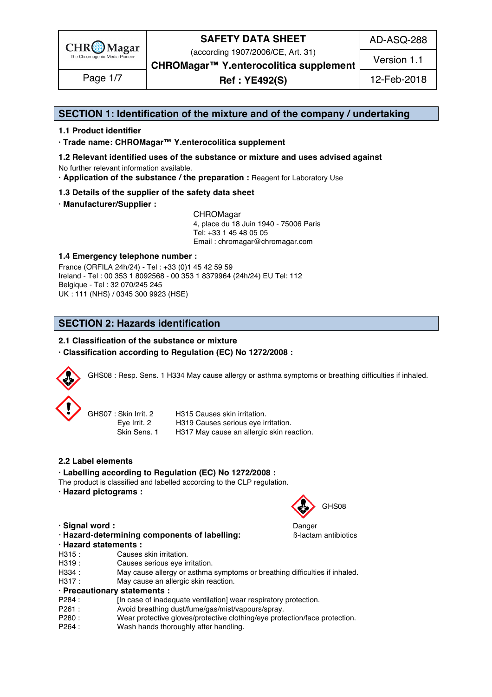

(according 1907/2006/CE, Art. 31)

AD-ASQ-288

Version 1.1

**CHROMagar™ Y.enterocolitica supplement**

**Ref : YE492(S)** Page 1/7 12-Feb-2018

### **SECTION 1: Identification of the mixture and of the company / undertaking** 1

### **1.1 Product identifier** 2

**· Trade name: CHROMagar™ Y.enterocolitica supplement** 3

- **1.2 Relevant identified uses of the substance or mixture and uses advised against** 4 No further relevant information available. 5
- **· Application of the substance / the preparation :** Reagent for Laboratory Use 6

### **1.3 Details of the supplier of the safety data sheet** 7

**· Manufacturer/Supplier :** 8

CHROMagar 9 4, place du 18 Juin 1940 - 75006 Paris 10 Tel: +33 1 45 48 05 05 11 11 12 11 12 11 12 11 12 11 12 11 12 11 12 11 12 11 12 1 Email : chromagar@chromagar.com 12

### **1.4 Emergency telephone number :** 13

France (ORFILA 24h/24) - Tel: +33 (0)1 45 42 59 59 Ireland - Tel: 00 353 1 8092568 - 00 353 1 8379964 (24h/24) EU Tel: 112 Belgique - Tel : 32 070/245 245 16 UK : 111 (NHS) / 0345 300 9923 (HSE) 17

# **SECTION 2: Hazards identification**

### **2.1 Classification of the substance or mixture**

### **· Classification according to Regulation (EC) No 1272/2008 :** 22



GHS08 : Resp. Sens. 1 H334 May cause allergy or asthma symptoms or breathing difficulties if inhaled.

| GHS07: Skin Irrit. 2 | H315 Causes skin irritation.              |
|----------------------|-------------------------------------------|
| Eye Irrit. 2         | H319 Causes serious eye irritation.       |
| Skin Sens.           | H317 May cause an allergic skin reaction. |

### **2.2 Label elements** 31

**· Labelling according to Regulation (EC) No 1272/2008 :** 32

The product is classified and labelled according to the CLP regulation.

**· Hazard pictograms :** 34



**· Signal word :** Danger 38

- 
- **· Hazard-determining components of labelling: B-lactam antibiotics**
- **· Hazard statements :** 40
- H315 : Causes skin irritation. 412 and 2012 and 2012 and 2012 and 2012 and 2012 and 2012 and 2012 and 2012 and 201
- H319 : Causes serious eye irritation. H334 : May cause allergy or asthma symptoms or breathing difficulties if inhaled.
- H317 : May cause an allergic skin reaction.

#### **· Precautionary statements :** 45

- P284 : [In case of inadequate ventilation] wear respiratory protection.
- P261 : Avoid breathing dust/fume/gas/mist/vapours/spray.
- P280 : Wear protective gloves/protective clothing/eye protection/face protection.
- P264 : Wash hands thoroughly after handling. And the state of the state of the state of the state of the state of the state of the state of the state of the state of the state of the state of the state of the state of the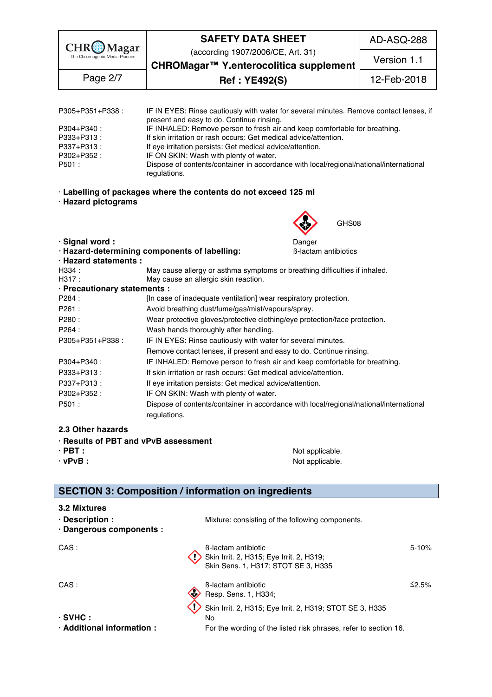

(according 1907/2006/CE, Art. 31)

AD-ASQ-288

Version 1.1

**CHROMagar™ Y.enterocolitica supplement Ref : YE492(S)** Page 2/7 12-Feb-2018

| P305+P351+P338:           |                                                                            | IF IN EYES: Rinse cautiously with water for several minutes. Remove contact lenses, if |  |  |  |  |
|---------------------------|----------------------------------------------------------------------------|----------------------------------------------------------------------------------------|--|--|--|--|
|                           | present and easy to do. Continue rinsing.                                  |                                                                                        |  |  |  |  |
| P304+P340:                | IF INHALED: Remove person to fresh air and keep comfortable for breathing. |                                                                                        |  |  |  |  |
| P333+P313:                | If skin irritation or rash occurs: Get medical advice/attention.           |                                                                                        |  |  |  |  |
| P337+P313:                | If eye irritation persists: Get medical advice/attention.                  |                                                                                        |  |  |  |  |
| P302+P352:                | IF ON SKIN: Wash with plenty of water.                                     |                                                                                        |  |  |  |  |
| P501 :                    |                                                                            | Dispose of contents/container in accordance with local/regional/national/international |  |  |  |  |
|                           | regulations.                                                               |                                                                                        |  |  |  |  |
| $\cdot$ Hazard pictograms | · Labelling of packages where the contents do not exceed 125 ml            |                                                                                        |  |  |  |  |
|                           |                                                                            | GHS08<br>S.                                                                            |  |  |  |  |
| · Signal word:            |                                                                            | Danger                                                                                 |  |  |  |  |
|                           | · Hazard-determining components of labelling:                              | <b>B-lactam antibiotics</b>                                                            |  |  |  |  |
| · Hazard statements :     |                                                                            |                                                                                        |  |  |  |  |
| H334                      | May cause allergy or asthma symptoms or breathing difficulties if inhaled  |                                                                                        |  |  |  |  |

| H334:                        | May cause allergy or asthma symptoms or breathing difficulties if inhaled.             |
|------------------------------|----------------------------------------------------------------------------------------|
| H317:                        | May cause an allergic skin reaction.                                                   |
| · Precautionary statements : |                                                                                        |
| P284 :                       | [In case of inadequate ventilation] wear respiratory protection.                       |
| P261:                        | Avoid breathing dust/fume/gas/mist/vapours/spray.                                      |
| P280:                        | Wear protective gloves/protective clothing/eye protection/face protection.             |
| P264 :                       | Wash hands thoroughly after handling.                                                  |
| P305+P351+P338:              | IF IN EYES: Rinse cautiously with water for several minutes.                           |
|                              | Remove contact lenses, if present and easy to do. Continue rinsing.                    |
| P304+P340:                   | IF INHALED: Remove person to fresh air and keep comfortable for breathing.             |
| P333+P313:                   | If skin irritation or rash occurs: Get medical advice/attention.                       |
| P337+P313:                   | If eye irritation persists: Get medical advice/attention.                              |
| P302+P352:                   | IF ON SKIN: Wash with plenty of water.                                                 |
| P501:                        | Dispose of contents/container in accordance with local/regional/national/international |
|                              | regulations.                                                                           |
|                              |                                                                                        |

### **2.3 Other hazards** 82

- **· Results of PBT and vPvB assessment** 83
- 
- 

**· PBT : a i i i c** *s* **i i i b o** *s* **o** *s* **o** *s* **o** *s* **o** *s* **o** *s* **o** *s* **o** *s* **o** *s* **o** *s* **o** *s* **o** *s* **o** *s* **o** *s* **o** *s* **o** *s* **o** *s* **· vPvB :** Not applicable. 85

# **SECTION 3: Composition / information on ingredients**

### **3.2 Mixtures** 89

| $\cdot$ Description :<br>· Dangerous components : | Mixture: consisting of the following components.                                                              |       |
|---------------------------------------------------|---------------------------------------------------------------------------------------------------------------|-------|
| CAS:                                              | <b>B-lactam antibiotic</b><br>Skin Irrit. 2, H315; Eye Irrit. 2, H319;<br>Skin Sens. 1, H317; STOT SE 3, H335 | 5-10% |
| CAS:                                              | <b>B-lactam antibiotic</b><br>Resp. Sens. 1, H334;                                                            | ≤2.5% |
| $\cdot$ SVHC :                                    | Skin Irrit. 2, H315; Eye Irrit. 2, H319; STOT SE 3, H335                                                      |       |

**· Additional information :** For the wording of the listed risk phrases, refer to section 16.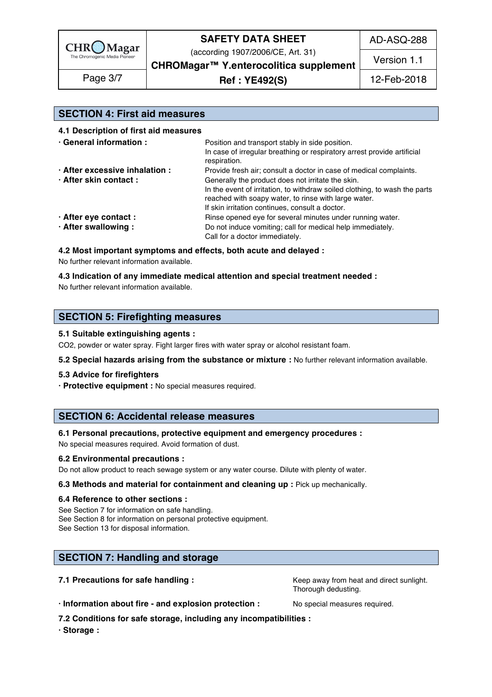

(according 1907/2006/CE, Art. 31)

AD-ASQ-288

**CHROMagar™ Y.enterocolitica supplement Ref : YE492(S)** Page 3/7 12-Feb-2018

Version 1.1

### **SECTION 4: First aid measures** 103

**4.1 Description of first aid measures** 104

| · General information :        | Position and transport stably in side position.<br>In case of irregular breathing or respiratory arrest provide artificial<br>respiration. |  |  |
|--------------------------------|--------------------------------------------------------------------------------------------------------------------------------------------|--|--|
| · After excessive inhalation : | Provide fresh air; consult a doctor in case of medical complaints.                                                                         |  |  |
| · After skin contact:          | Generally the product does not irritate the skin.                                                                                          |  |  |
|                                | In the event of irritation, to withdraw soiled clothing, to wash the parts                                                                 |  |  |
|                                | reached with soapy water, to rinse with large water.                                                                                       |  |  |
|                                | If skin irritation continues, consult a doctor.                                                                                            |  |  |
| · After eye contact :          | Rinse opened eye for several minutes under running water.                                                                                  |  |  |
| · After swallowing:            | Do not induce vomiting; call for medical help immediately.                                                                                 |  |  |
|                                | Call for a doctor immediately.                                                                                                             |  |  |

### **4.2 Most important symptoms and effects, both acute and delayed :** 116

No further relevant information available. 117 and 200 minutes are expected to the state of the state of the state of the state of the state of the state of the state of the state of the state of the state of the state of

#### **4.3 Indication of any immediate medical attention and special treatment needed :** 118

No further relevant information available. 1199. The state of the state of the state of the state of the state o

### **SECTION 5: Firefighting measures**

#### **5.1 Suitable extinguishing agents :** 123

CO2, powder or water spray. Fight larger fires with water spray or alcohol resistant foam.

**5.2 Special hazards arising from the substance or mixture :** No further relevant information available.

#### **5.3 Advice for firefighters** 126

**· Protective equipment :** No special measures required.

### **SECTION 6: Accidental release measures**

#### **6.1 Personal precautions, protective equipment and emergency procedures :** 131

No special measures required. Avoid formation of dust.

#### **6.2 Environmental precautions :** 133

Do not allow product to reach sewage system or any water course. Dilute with plenty of water.

#### **6.3 Methods and material for containment and cleaning up : Pick up mechanically.**

#### **6.4 Reference to other sections :** 136

See Section 7 for information on safe handling. See Section 8 for information on personal protective equipment. See Section 13 for disposal information. 139 and 200 and 200 and 200 and 200 and 200 and 200 and 200 and 200 and 200 and 200 and 200 and 200 and 200 and 200 and 200 and 200 and 200 and 200 and 200 and 200 and 200 and 200 a

### **SECTION 7: Handling and storage 142 Section 122 Section 122 Section 122 Section 122 Section 122 Section 122 Sec**

**7.1 Precautions for safe handling :**  $\qquad \qquad$  Keep away from heat and direct sunlight.

Thorough dedusting.

**· Information about fire - and explosion protection :** No special measures required. 146

**7.2 Conditions for safe storage, including any incompatibilities :** 147

**· Storage :** 148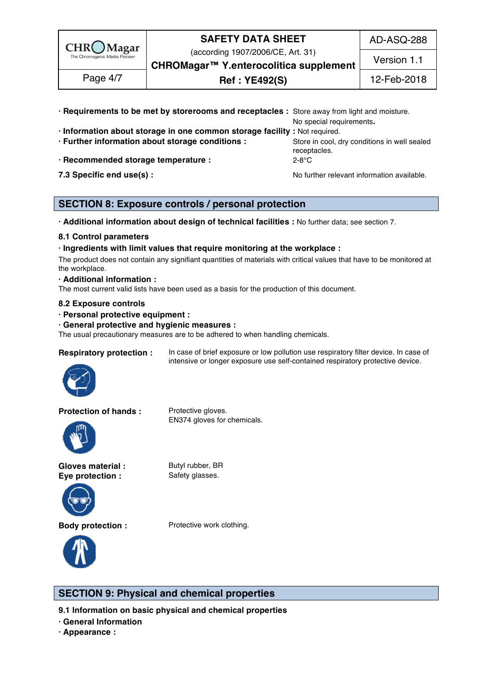

(according 1907/2006/CE, Art. 31)

AD-ASQ-288

**CHROMagar™ Y.enterocolitica supplement** Version 1.1

**Ref : YE492(S)** Page 4/7 12-Feb-2018

| · Requirements to be met by storerooms and receptacles : Store away from light and moisture. |                                                              |
|----------------------------------------------------------------------------------------------|--------------------------------------------------------------|
|                                                                                              | No special requirements.                                     |
| · Information about storage in one common storage facility : Not required.                   |                                                              |
| · Further information about storage conditions :                                             | Store in cool, dry conditions in well sealed<br>receptacles. |
| · Recommended storage temperature :                                                          | 2-8°C                                                        |
| 7.3 Specific end use(s) :                                                                    | No further relevant information available.                   |

# **SECTION 8: Exposure controls / personal protection**

**· Additional information about design of technical facilities :** No further data; see section 7. 159

#### **8.1 Control parameters** 160

**· Ingredients with limit values that require monitoring at the workplace :** 161

The product does not contain any signifiant quantities of materials with critical values that have to be monitored at  $\epsilon$  the workplace. The mass of  $\epsilon$  is a set of  $\epsilon$  is a set of  $\epsilon$  is a set of  $\epsilon$  is a set of  $\epsilon$  is a set of  $\epsilon$  is a set of  $\epsilon$  is a set of  $\epsilon$  is a set of  $\epsilon$  is a set of  $\epsilon$  is a set of  $\epsilon$  is a set of  $\$ 

#### **· Additional information :** 164

The most current valid lists have been used as a basis for the production of this document.

### **8.2 Exposure controls** 166

- **· Personal protective equipment :** 167
- **· General protective and hygienic measures :** 168

The usual precautionary measures are to be adhered to when handling chemicals.



**Respiratory protection :** In case of brief exposure or low pollution use respiratory filter device. In case of intensive or longer exposure use self-contained respiratory protective device.



EN374 gloves for chemicals.





**Body protection :** Protective work clothing.



### **SECTION 9: Physical and chemical properties**

9.1 Information on basic physical and chemical properties

- **· General Information** 175
- **· Appearance :** 176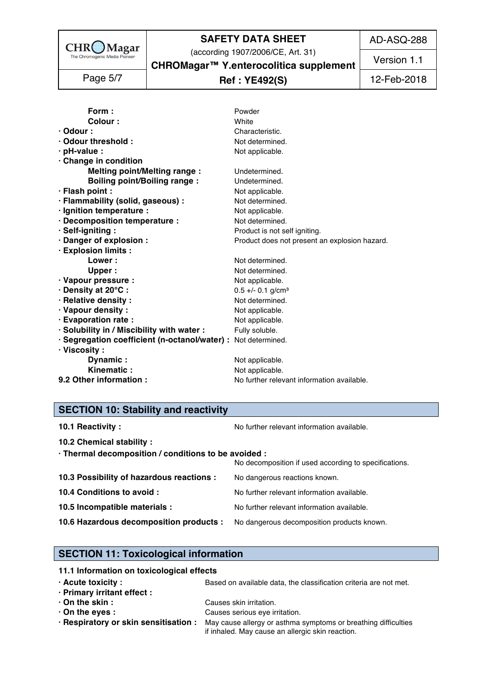

AD-ASQ-288

Version 1.1

(according 1907/2006/CE, Art. 31)

**CHROMagar™ Y.enterocolitica supplement**

# **Ref : YE492(S)** Page 5/7 12-Feb-2018

| Form:                                                         | Powder                                        |
|---------------------------------------------------------------|-----------------------------------------------|
| Colour:                                                       | White                                         |
| $\cdot$ Odour :                                               | Characteristic.                               |
| · Odour threshold :                                           | Not determined.                               |
| · pH-value :                                                  | Not applicable.                               |
| Change in condition                                           |                                               |
| <b>Melting point/Melting range:</b>                           | Undetermined.                                 |
| <b>Boiling point/Boiling range:</b>                           | Undetermined.                                 |
| · Flash point :                                               | Not applicable.                               |
| · Flammability (solid, gaseous) :                             | Not determined.                               |
| · Ignition temperature :                                      | Not applicable.                               |
| · Decomposition temperature :                                 | Not determined.                               |
| · Self-igniting:                                              | Product is not self igniting.                 |
| · Danger of explosion :                                       | Product does not present an explosion hazard. |
| · Explosion limits :                                          |                                               |
| <b>Lower</b> :                                                | Not determined.                               |
| Upper :                                                       | Not determined.                               |
| · Vapour pressure :                                           | Not applicable.                               |
| · Density at 20°C:                                            | $0.5 +/- 0.1$ g/cm <sup>3</sup>               |
| · Relative density :                                          | Not determined.                               |
| · Vapour density:                                             | Not applicable.                               |
| · Evaporation rate :                                          | Not applicable.                               |
| · Solubility in / Miscibility with water :                    | Fully soluble.                                |
| · Segregation coefficient (n-octanol/water) : Not determined. |                                               |
| $\cdot$ Viscosity :                                           |                                               |
| Dynamic:                                                      | Not applicable.                               |
| Kinematic:                                                    | Not applicable.                               |
| 9.2 Other information :                                       | No further relevant information available.    |

# **SECTION 10: Stability and reactivity**

| 10.1 Reactivity:                                                                   | No further relevant information available.            |
|------------------------------------------------------------------------------------|-------------------------------------------------------|
| 10.2 Chemical stability :                                                          |                                                       |
| · Thermal decomposition / conditions to be avoided :                               | No decomposition if used according to specifications. |
| 10.3 Possibility of hazardous reactions :                                          | No dangerous reactions known.                         |
| 10.4 Conditions to avoid :                                                         | No further relevant information available.            |
| 10.5 Incompatible materials :                                                      | No further relevant information available.            |
| 10.6 Hazardous decomposition products : No dangerous decomposition products known. |                                                       |
|                                                                                    |                                                       |

# **SECTION 11: Toxicological information**

| 11.1 Information on toxicological effects |                                                                                                      |
|-------------------------------------------|------------------------------------------------------------------------------------------------------|
| $\cdot$ Acute toxicity :                  | Based on available data, the classification criteria are not met.                                    |
| · Primary irritant effect :               |                                                                                                      |
| $\cdot$ On the skin :                     | Causes skin irritation.                                                                              |
| $\cdot$ On the eyes :                     | Causes serious eye irritation.                                                                       |
|                                           | . Respiratory or skin sensitisation : May cause allergy or asthma symptoms or breathing difficulties |
|                                           | if inhaled. May cause an allergic skin reaction.                                                     |
|                                           |                                                                                                      |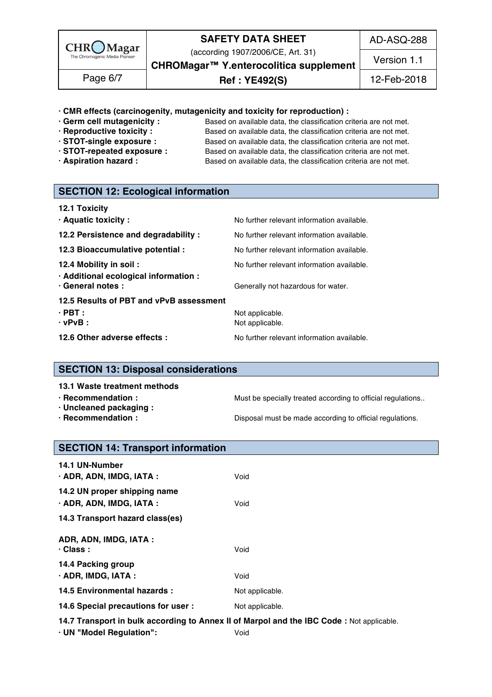

(according 1907/2006/CE, Art. 31)

AD-ASQ-288

**CHROMagar™ Y.enterocolitica supplement**

**Ref : YE492(S)** Page 6/7 12-Feb-2018

Version 1.1

### **· CMR effects (carcinogenity, mutagenicity and toxicity for reproduction) :** 226

- 
- 
- 
- 
- 

**· Germ cell mutagenicity :** Based on available data, the classification criteria are not met.<br>**· Reproductive toxicity :** Based on available data, the classification criteria are not met. Based on available data, the classification criteria are not met. **· STOT-single exposure :** Based on available data, the classification criteria are not met. **· STOT-repeated exposure :** Based on available data, the classification criteria are not met. **· Aspiration hazard :** Based on available data, the classification criteria are not met.

# **SECTION 12: Ecological information**

| <b>12.1 Toxicity</b>                                            |                                            |
|-----------------------------------------------------------------|--------------------------------------------|
| · Aquatic toxicity :                                            | No further relevant information available. |
| 12.2 Persistence and degradability :                            | No further relevant information available. |
| 12.3 Bioaccumulative potential :                                | No further relevant information available. |
| 12.4 Mobility in soil:<br>· Additional ecological information : | No further relevant information available. |
| · General notes :<br>12.5 Results of PBT and vPvB assessment    | Generally not hazardous for water.         |
| $\cdot$ PBT :                                                   | Not applicable.                            |
| $\cdot$ vPvB :                                                  | Not applicable.                            |
| 12.6 Other adverse effects :                                    | No further relevant information available. |

## **SECTION 13: Disposal considerations**

**13.1 Waste treatment methods** 249

- 
- **· Uncleaned packaging :** 251
- 

**· Recommendation : Must be specially treated according to official regulations..** 

**· Recommendation : Disposal must be made according to official regulations.** 

### **SECTION 14: Transport information**

| <b>14.1 UN-Number</b>                                    |                                                                                          |
|----------------------------------------------------------|------------------------------------------------------------------------------------------|
| · ADR, ADN, IMDG, IATA :                                 | Void                                                                                     |
| 14.2 UN proper shipping name<br>· ADR, ADN, IMDG, IATA : | Void                                                                                     |
| 14.3 Transport hazard class(es)                          |                                                                                          |
| ADR, ADN, IMDG, IATA :<br>$\cdot$ Class :                | Void                                                                                     |
| 14.4 Packing group<br>$\cdot$ ADR, IMDG, IATA :          | Void                                                                                     |
| 14.5 Environmental hazards :                             | Not applicable.                                                                          |
| 14.6 Special precautions for user :                      | Not applicable.                                                                          |
|                                                          | 14.7 Transport in bulk according to Annex II of Marpol and the IBC Code: Not applicable. |

- **· UN "Model Regulation":** Void 269
-